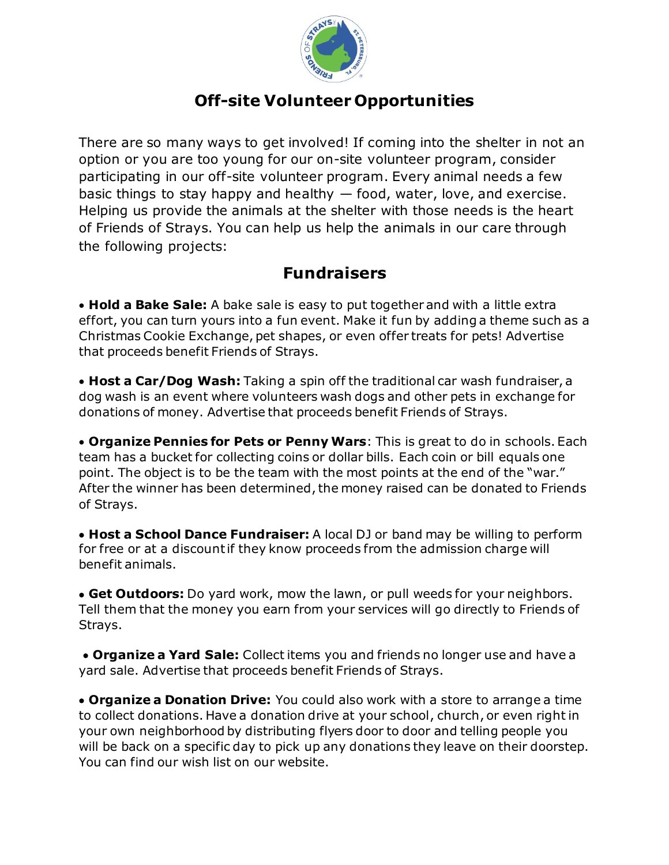

## **Off-site Volunteer Opportunities**

There are so many ways to get involved! If coming into the shelter in not an option or you are too young for our on-site volunteer program, consider participating in our off-site volunteer program. Every animal needs a few basic things to stay happy and healthy — food, water, love, and exercise. Helping us provide the animals at the shelter with those needs is the heart of Friends of Strays. You can help us help the animals in our care through the following projects:

## **Fundraisers**

• **Hold a Bake Sale:** A bake sale is easy to put together and with a little extra effort, you can turn yours into a fun event. Make it fun by adding a theme such as a Christmas Cookie Exchange, pet shapes, or even offer treats for pets! Advertise that proceeds benefit Friends of Strays.

• **Host a Car/Dog Wash:** Taking a spin off the traditional car wash fundraiser, a dog wash is an event where volunteers wash dogs and other pets in exchange for donations of money. Advertise that proceeds benefit Friends of Strays.

• **Organize Pennies for Pets or Penny Wars**: This is great to do in schools. Each team has a bucket for collecting coins or dollar bills. Each coin or bill equals one point. The object is to be the team with the most points at the end of the "war." After the winner has been determined, the money raised can be donated to Friends of Strays.

• **Host a School Dance Fundraiser:** A local DJ or band may be willing to perform for free or at a discount if they know proceeds from the admission charge will benefit animals.

• **Get Outdoors:** Do yard work, mow the lawn, or pull weeds for your neighbors. Tell them that the money you earn from your services will go directly to Friends of Strays.

• **Organize a Yard Sale:** Collect items you and friends no longer use and have a yard sale. Advertise that proceeds benefit Friends of Strays.

• **Organize a Donation Drive:** You could also work with a store to arrange a time to collect donations. Have a donation drive at your school, church, or even right in your own neighborhood by distributing flyers door to door and telling people you will be back on a specific day to pick up any donations they leave on their doorstep. You can find our wish list on our website.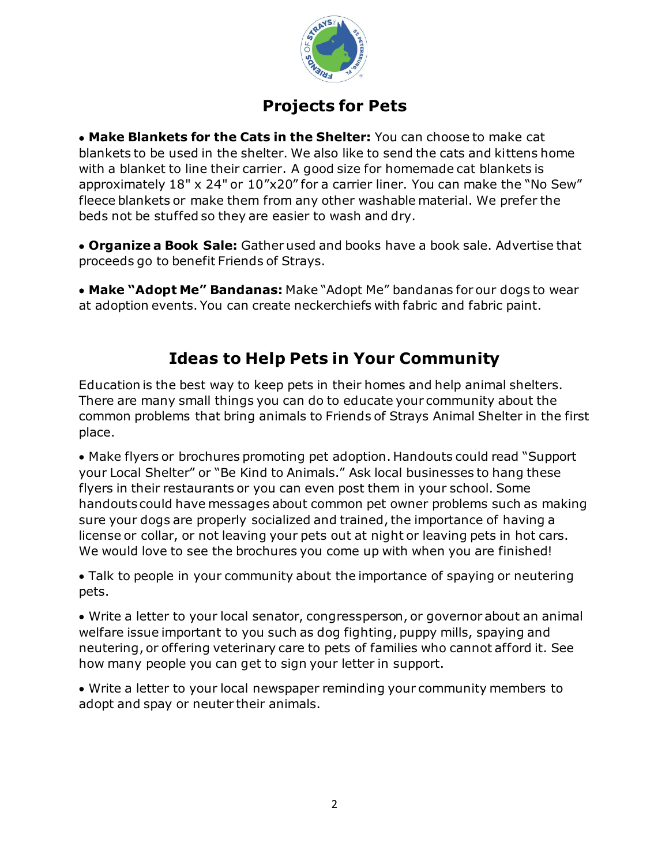

# **Projects for Pets**

• **Make Blankets for the Cats in the Shelter:** You can choose to make cat blankets to be used in the shelter. We also like to send the cats and kittens home with a blanket to line their carrier. A good size for homemade cat blankets is approximately 18" x 24" or 10"x20" for a carrier liner. You can make the "No Sew" fleece blankets or make them from any other washable material. We prefer the beds not be stuffed so they are easier to wash and dry.

• **Organize a Book Sale:** Gather used and books have a book sale. Advertise that proceeds go to benefit Friends of Strays.

• **Make "Adopt Me" Bandanas:** Make "Adopt Me" bandanas for our dogs to wear at adoption events. You can create neckerchiefs with fabric and fabric paint.

# **Ideas to Help Pets in Your Community**

Education is the best way to keep pets in their homes and help animal shelters. There are many small things you can do to educate your community about the common problems that bring animals to Friends of Strays Animal Shelter in the first place.

• Make flyers or brochures promoting pet adoption. Handouts could read "Support your Local Shelter" or "Be Kind to Animals." Ask local businesses to hang these flyers in their restaurants or you can even post them in your school. Some handouts could have messages about common pet owner problems such as making sure your dogs are properly socialized and trained, the importance of having a license or collar, or not leaving your pets out at night or leaving pets in hot cars. We would love to see the brochures you come up with when you are finished!

• Talk to people in your community about the importance of spaying or neutering pets.

• Write a letter to your local senator, congressperson, or governor about an animal welfare issue important to you such as dog fighting, puppy mills, spaying and neutering, or offering veterinary care to pets of families who cannot afford it. See how many people you can get to sign your letter in support.

• Write a letter to your local newspaper reminding your community members to adopt and spay or neuter their animals.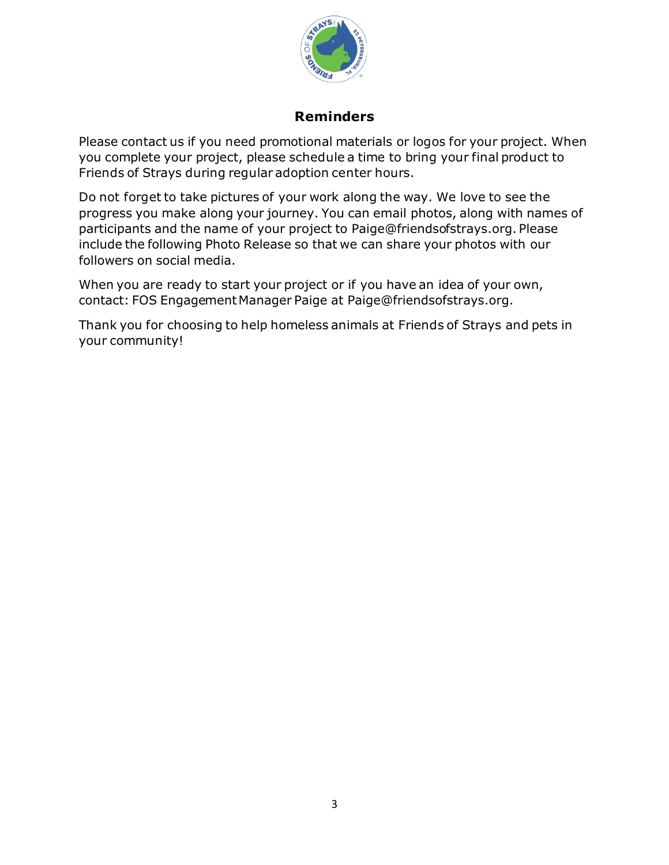

#### **Reminders**

Please contact us if you need promotional materials or logos for your project. When you complete your project, please schedule a time to bring your final product to Friends of Strays during regular adoption center hours.

Do not forget to take pictures of your work along the way. We love to see the progress you make along your journey. You can email photos, along with names of participants and the name of your project to Paige@friendsofstrays.org. Please include the following Photo Release so that we can share your photos with our followers on social media.

When you are ready to start your project or if you have an idea of your own, contact: FOS Engagement Manager Paige at Paige@friendsofstrays.org.

Thank you for choosing to help homeless animals at Friends of Strays and pets in your community!